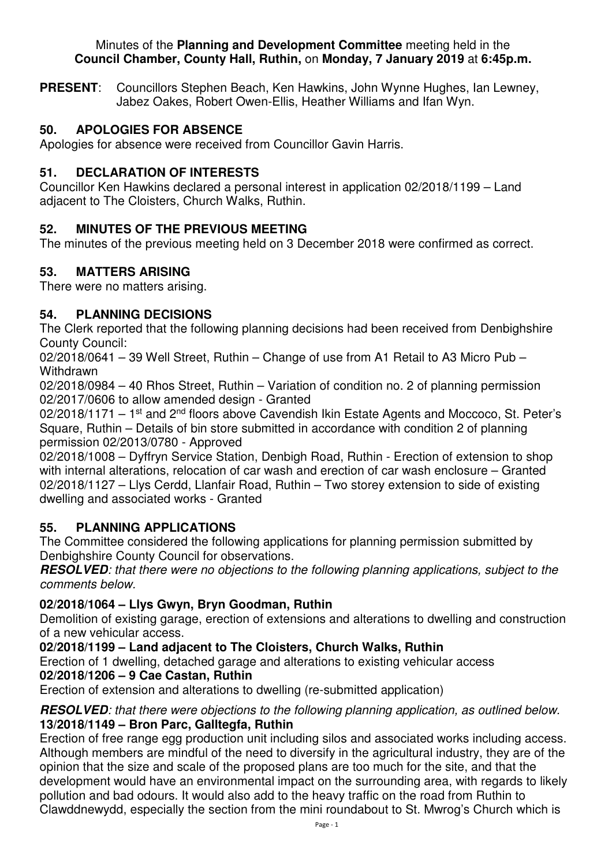#### Minutes of the **Planning and Development Committee** meeting held in the **Council Chamber, County Hall, Ruthin,** on **Monday, 7 January 2019** at **6:45p.m.**

**PRESENT**: Councillors Stephen Beach, Ken Hawkins, John Wynne Hughes, Ian Lewney, Jabez Oakes, Robert Owen-Ellis, Heather Williams and Ifan Wyn.

## **50. APOLOGIES FOR ABSENCE**

Apologies for absence were received from Councillor Gavin Harris.

### **51. DECLARATION OF INTERESTS**

Councillor Ken Hawkins declared a personal interest in application 02/2018/1199 – Land adjacent to The Cloisters, Church Walks, Ruthin.

### **52. MINUTES OF THE PREVIOUS MEETING**

The minutes of the previous meeting held on 3 December 2018 were confirmed as correct.

### **53. MATTERS ARISING**

There were no matters arising.

### **54. PLANNING DECISIONS**

The Clerk reported that the following planning decisions had been received from Denbighshire County Council:

02/2018/0641 – 39 Well Street, Ruthin – Change of use from A1 Retail to A3 Micro Pub – **Withdrawn** 

02/2018/0984 – 40 Rhos Street, Ruthin – Variation of condition no. 2 of planning permission 02/2017/0606 to allow amended design - Granted

 $02/2018/1171 - 1<sup>st</sup>$  and  $2<sup>nd</sup>$  floors above Cavendish Ikin Estate Agents and Moccoco, St. Peter's Square, Ruthin – Details of bin store submitted in accordance with condition 2 of planning permission 02/2013/0780 - Approved

02/2018/1008 – Dyffryn Service Station, Denbigh Road, Ruthin - Erection of extension to shop with internal alterations, relocation of car wash and erection of car wash enclosure – Granted 02/2018/1127 – Llys Cerdd, Llanfair Road, Ruthin – Two storey extension to side of existing dwelling and associated works - Granted

### **55. PLANNING APPLICATIONS**

The Committee considered the following applications for planning permission submitted by Denbighshire County Council for observations.

**RESOLVED***: that there were no objections to the following planning applications, subject to the comments below.* 

### **02/2018/1064 – Llys Gwyn, Bryn Goodman, Ruthin**

Demolition of existing garage, erection of extensions and alterations to dwelling and construction of a new vehicular access.

# **02/2018/1199 – Land adjacent to The Cloisters, Church Walks, Ruthin**

Erection of 1 dwelling, detached garage and alterations to existing vehicular access

### **02/2018/1206 – 9 Cae Castan, Ruthin**

Erection of extension and alterations to dwelling (re-submitted application)

#### **RESOLVED***: that there were objections to the following planning application, as outlined below.*  **13/2018/1149 – Bron Parc, Galltegfa, Ruthin**

Erection of free range egg production unit including silos and associated works including access. Although members are mindful of the need to diversify in the agricultural industry, they are of the opinion that the size and scale of the proposed plans are too much for the site, and that the development would have an environmental impact on the surrounding area, with regards to likely pollution and bad odours. It would also add to the heavy traffic on the road from Ruthin to Clawddnewydd, especially the section from the mini roundabout to St. Mwrog's Church which is